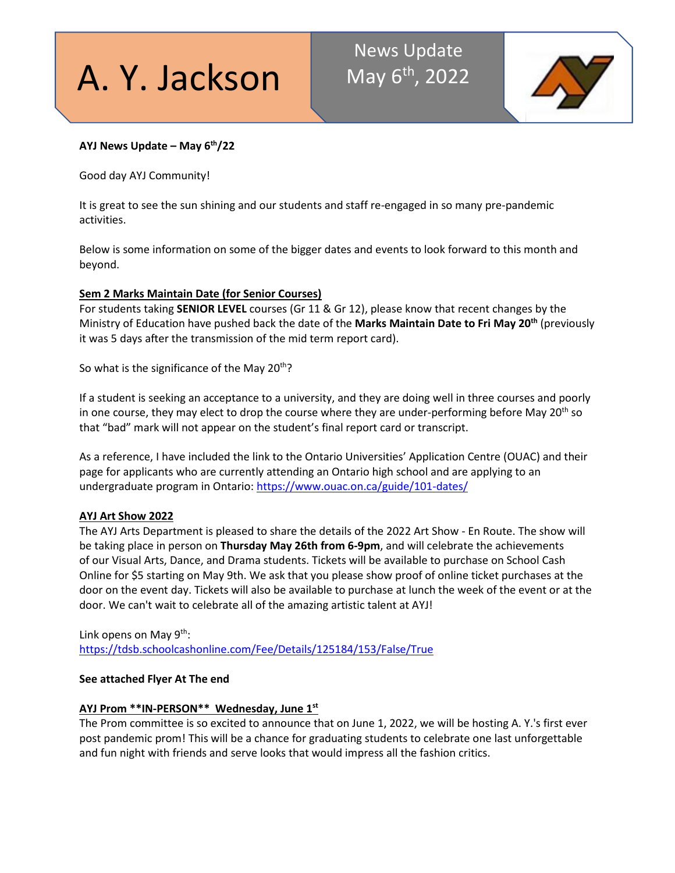A. Y. Jackson

# News Update May 6<sup>th</sup>, 2022



# **AYJ News Update – May 6th/22**

Good day AYJ Community!

It is great to see the sun shining and our students and staff re-engaged in so many pre-pandemic activities.

Below is some information on some of the bigger dates and events to look forward to this month and beyond.

# **Sem 2 Marks Maintain Date (for Senior Courses)**

For students taking **SENIOR LEVEL** courses (Gr 11 & Gr 12), please know that recent changes by the Ministry of Education have pushed back the date of the **Marks Maintain Date to Fri May 20th** (previously it was 5 days after the transmission of the mid term report card).

So what is the significance of the May  $20<sup>th</sup>$ ?

If a student is seeking an acceptance to a university, and they are doing well in three courses and poorly in one course, they may elect to drop the course where they are under-performing before May  $20<sup>th</sup>$  so that "bad" mark will not appear on the student's final report card or transcript.

As a reference, I have included the link to the Ontario Universities' Application Centre (OUAC) and their page for applicants who are currently attending an Ontario high school and are applying to an undergraduate program in Ontario:<https://www.ouac.on.ca/guide/101-dates/>

# **AYJ Art Show 2022**

The AYJ Arts Department is pleased to share the details of the 2022 Art Show - En Route. The show will be taking place in person on **Thursday May 26th from 6-9pm**, and will celebrate the achievements of our Visual Arts, Dance, and Drama students. Tickets will be available to purchase on School Cash Online for \$5 starting on May 9th. We ask that you please show proof of online ticket purchases at the door on the event day. Tickets will also be available to purchase at lunch the week of the event or at the door. We can't wait to celebrate all of the amazing artistic talent at AYJ!

Link opens on May  $9<sup>th</sup>$ : <https://tdsb.schoolcashonline.com/Fee/Details/125184/153/False/True>

# **See attached Flyer At The end**

# **AYJ Prom \*\*IN-PERSON\*\* Wednesday, June 1st**

The Prom committee is so excited to announce that on June 1, 2022, we will be hosting A. Y.'s first ever post pandemic prom! This will be a chance for graduating students to celebrate one last unforgettable and fun night with friends and serve looks that would impress all the fashion critics.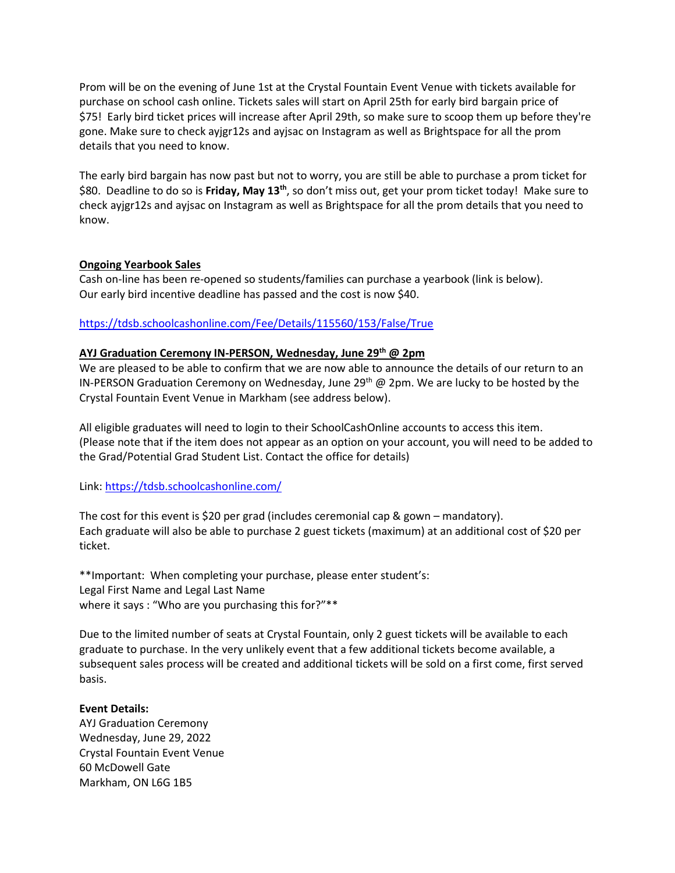Prom will be on the evening of June 1st at the Crystal Fountain Event Venue with tickets available for purchase on school cash online. Tickets sales will start on April 25th for early bird bargain price of \$75! Early bird ticket prices will increase after April 29th, so make sure to scoop them up before they're gone. Make sure to check ayjgr12s and ayjsac on Instagram as well as Brightspace for all the prom details that you need to know.

The early bird bargain has now past but not to worry, you are still be able to purchase a prom ticket for \$80. Deadline to do so is **Friday, May 13th**, so don't miss out, get your prom ticket today! Make sure to check ayjgr12s and ayjsac on Instagram as well as Brightspace for all the prom details that you need to know.

#### **Ongoing Yearbook Sales**

Cash on-line has been re-opened so students/families can purchase a yearbook (link is below). Our early bird incentive deadline has passed and the cost is now \$40.

#### <https://tdsb.schoolcashonline.com/Fee/Details/115560/153/False/True>

#### **AYJ Graduation Ceremony IN-PERSON, Wednesday, June 29th @ 2pm**

We are pleased to be able to confirm that we are now able to announce the details of our return to an IN-PERSON Graduation Ceremony on Wednesday, June 29<sup>th</sup> @ 2pm. We are lucky to be hosted by the Crystal Fountain Event Venue in Markham (see address below).

All eligible graduates will need to login to their SchoolCashOnline accounts to access this item. (Please note that if the item does not appear as an option on your account, you will need to be added to the Grad/Potential Grad Student List. Contact the office for details)

Link:<https://tdsb.schoolcashonline.com/>

The cost for this event is \$20 per grad (includes ceremonial cap & gown – mandatory). Each graduate will also be able to purchase 2 guest tickets (maximum) at an additional cost of \$20 per ticket.

\*\*Important: When completing your purchase, please enter student's: Legal First Name and Legal Last Name where it says : "Who are you purchasing this for?"\*\*

Due to the limited number of seats at Crystal Fountain, only 2 guest tickets will be available to each graduate to purchase. In the very unlikely event that a few additional tickets become available, a subsequent sales process will be created and additional tickets will be sold on a first come, first served basis.

#### **Event Details:**

AYJ Graduation Ceremony Wednesday, June 29, 2022 Crystal Fountain Event Venue 60 McDowell Gate Markham, ON L6G 1B5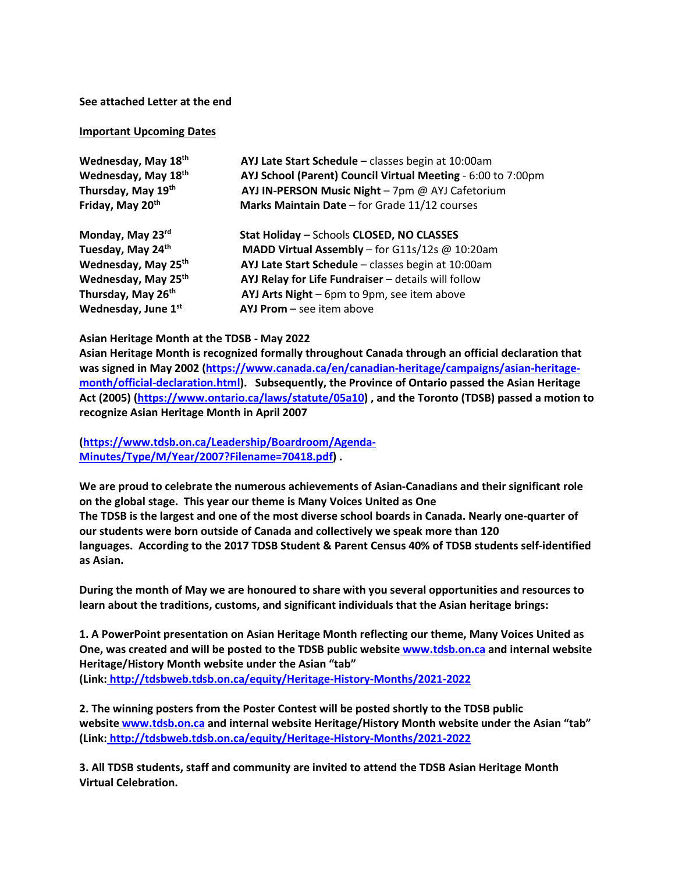#### **See attached Letter at the end**

#### **Important Upcoming Dates**

| Wednesday, May 18th             | AYJ Late Start Schedule - classes begin at 10:00am           |
|---------------------------------|--------------------------------------------------------------|
| Wednesday, May 18th             | AYJ School (Parent) Council Virtual Meeting - 6:00 to 7:00pm |
| Thursday, May 19th              | AYJ IN-PERSON Music Night - 7pm @ AYJ Cafetorium             |
| Friday, May 20th                | Marks Maintain Date - for Grade 11/12 courses                |
| Monday, May 23rd                | Stat Holiday - Schools CLOSED, NO CLASSES                    |
| Tuesday, May 24th               | MADD Virtual Assembly - for G11s/12s @ 10:20am               |
| Wednesday, May 25 <sup>th</sup> | AYJ Late Start Schedule - classes begin at 10:00am           |
| Wednesday, May 25th             | AYJ Relay for Life Fundraiser - details will follow          |
| Thursday, May 26th              | AYJ Arts Night - 6pm to 9pm, see item above                  |
| Wednesday, June 1st             | $AYJ$ Prom $-$ see item above                                |

#### **Asian Heritage Month at the TDSB - May 2022**

**Asian Heritage Month is recognized formally throughout Canada through an official declaration that was signed in May 2002 [\(https://www.canada.ca/en/canadian-heritage/campaigns/asian-heritage](https://www.canada.ca/en/canadian-heritage/campaigns/asian-heritage-month/official-declaration.html)[month/official-declaration.html\)](https://www.canada.ca/en/canadian-heritage/campaigns/asian-heritage-month/official-declaration.html). Subsequently, the Province of Ontario passed the Asian Heritage Act (2005) [\(https://www.ontario.ca/laws/statute/05a10\)](https://www.ontario.ca/laws/statute/05a10) , and the Toronto (TDSB) passed a motion to recognize Asian Heritage Month in April 2007** 

**[\(https://www.tdsb.on.ca/Leadership/Boardroom/Agenda-](https://www.tdsb.on.ca/Leadership/Boardroom/Agenda-Minutes/Type/M/Year/2007?Filename=70418.pdf)[Minutes/Type/M/Year/2007?Filename=70418.pdf\)](https://www.tdsb.on.ca/Leadership/Boardroom/Agenda-Minutes/Type/M/Year/2007?Filename=70418.pdf) .**

**We are proud to celebrate the numerous achievements of Asian-Canadians and their significant role on the global stage. This year our theme is Many Voices United as One The TDSB is the largest and one of the most diverse school boards in Canada. Nearly one-quarter of our students were born outside of Canada and collectively we speak more than 120 languages. According to the 2017 TDSB Student & Parent Census 40% of TDSB students self-identified as Asian.**

**During the month of May we are honoured to share with you several opportunities and resources to learn about the traditions, customs, and significant individuals that the Asian heritage brings:**

**1. A PowerPoint presentation on Asian Heritage Month reflecting our theme, Many Voices United as One, was created and will be posted to the TDSB public website [www.tdsb.on.ca](http://www.tdsb.on.ca/) and internal website Heritage/History Month website under the Asian "tab" (Link: <http://tdsbweb.tdsb.on.ca/equity/Heritage-History-Months/2021-2022>**

**2. The winning posters from the Poster Contest will be posted shortly to the TDSB public website [www.tdsb.on.ca](http://www.tdsb.on.ca/) and internal website Heritage/History Month website under the Asian "tab" (Link: <http://tdsbweb.tdsb.on.ca/equity/Heritage-History-Months/2021-2022>**

**3. All TDSB students, staff and community are invited to attend the TDSB Asian Heritage Month Virtual Celebration.**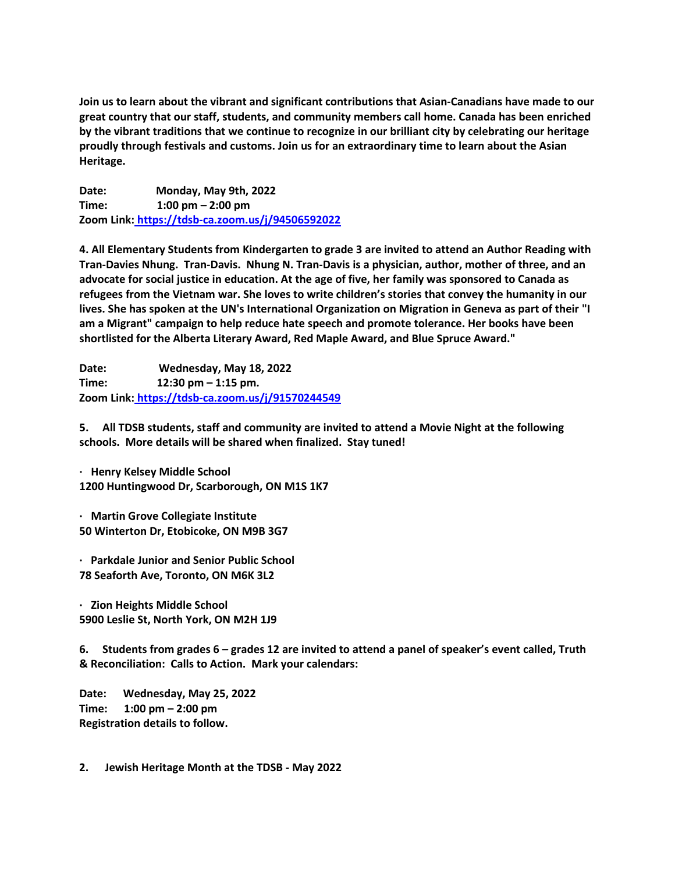**Join us to learn about the vibrant and significant contributions that Asian-Canadians have made to our great country that our staff, students, and community members call home. Canada has been enriched by the vibrant traditions that we continue to recognize in our brilliant city by celebrating our heritage proudly through festivals and customs. Join us for an extraordinary time to learn about the Asian Heritage.**

**Date: Monday, May 9th, 2022 Time: 1:00 pm – 2:00 pm Zoom Link: <https://tdsb-ca.zoom.us/j/94506592022>**

**4. All Elementary Students from Kindergarten to grade 3 are invited to attend an Author Reading with Tran-Davies Nhung. Tran-Davis. Nhung N. Tran-Davis is a physician, author, mother of three, and an advocate for social justice in education. At the age of five, her family was sponsored to Canada as refugees from the Vietnam war. She loves to write children's stories that convey the humanity in our lives. She has spoken at the UN's International Organization on Migration in Geneva as part of their "I am a Migrant" campaign to help reduce hate speech and promote tolerance. Her books have been shortlisted for the Alberta Literary Award, Red Maple Award, and Blue Spruce Award."**

**Date: Wednesday, May 18, 2022 Time: 12:30 pm – 1:15 pm. Zoom Link: <https://tdsb-ca.zoom.us/j/91570244549>**

**5. All TDSB students, staff and community are invited to attend a Movie Night at the following schools. More details will be shared when finalized. Stay tuned!**

**· Henry Kelsey Middle School 1200 Huntingwood Dr, Scarborough, ON M1S 1K7**

**· Martin Grove Collegiate Institute 50 Winterton Dr, Etobicoke, ON M9B 3G7**

**· Parkdale Junior and Senior Public School 78 Seaforth Ave, Toronto, ON M6K 3L2**

**· Zion Heights Middle School 5900 Leslie St, North York, ON M2H 1J9**

**6. Students from grades 6 – grades 12 are invited to attend a panel of speaker's event called, Truth & Reconciliation: Calls to Action. Mark your calendars:**

**Date: Wednesday, May 25, 2022 Time: 1:00 pm – 2:00 pm Registration details to follow.**

**2. Jewish Heritage Month at the TDSB - May 2022**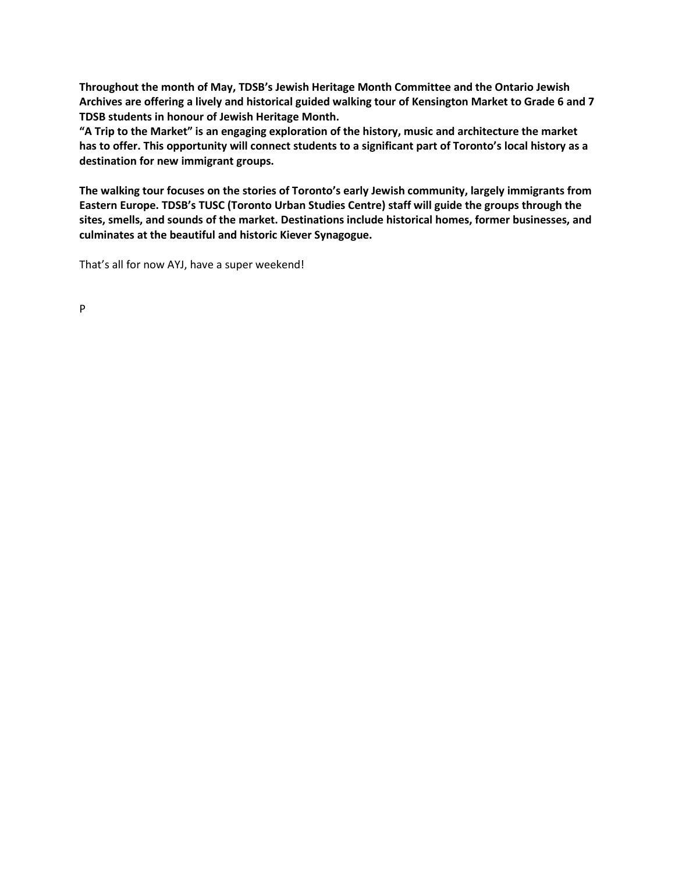**Throughout the month of May, TDSB's Jewish Heritage Month Committee and the Ontario Jewish Archives are offering a lively and historical guided walking tour of Kensington Market to Grade 6 and 7 TDSB students in honour of Jewish Heritage Month.**

**"A Trip to the Market" is an engaging exploration of the history, music and architecture the market has to offer. This opportunity will connect students to a significant part of Toronto's local history as a destination for new immigrant groups.**

**The walking tour focuses on the stories of Toronto's early Jewish community, largely immigrants from Eastern Europe. TDSB's TUSC (Toronto Urban Studies Centre) staff will guide the groups through the sites, smells, and sounds of the market. Destinations include historical homes, former businesses, and culminates at the beautiful and historic Kiever Synagogue.**

That's all for now AYJ, have a super weekend!